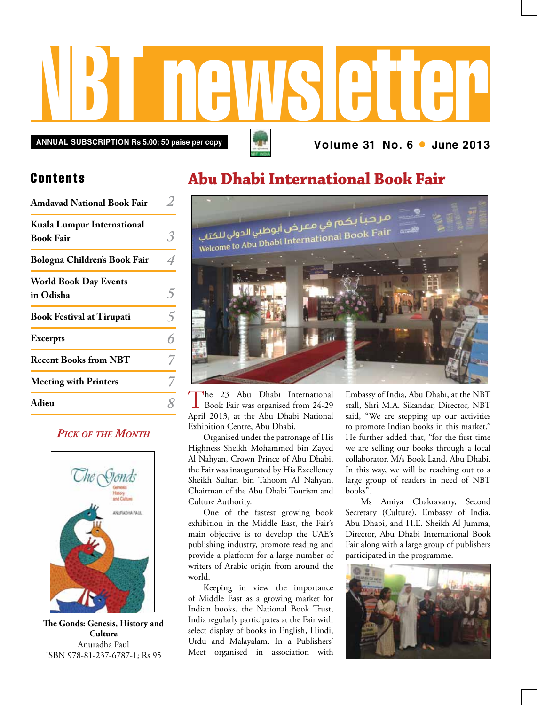

**ANNUAL SUBSCRIPTION Rs 5.00; 50 paise per copy <b>Annual Structure** 11 No. 6 • June 2013

### **Contents**

| <b>Amdavad National Book Fair</b>              |                |
|------------------------------------------------|----------------|
| Kuala Lumpur International<br><b>Book Fair</b> |                |
| Bologna Children's Book Fair                   |                |
| <b>World Book Day Events</b><br>in Odisha      |                |
| <b>Book Festival at Tirupati</b>               | $\overline{5}$ |
| <b>Excerpts</b>                                |                |
| <b>Recent Books from NBT</b>                   |                |
| <b>Meeting with Printers</b>                   |                |
| Adieu                                          |                |

### *Pick of the Month*



**The Gonds: Genesis, History and Culture** Anuradha Paul ISBN 978-81-237-6787-1; Rs 95

## **Abu Dhabi International Book Fair**



The 23 Abu Dhabi International<br>Book Fair was organised from 24-29 April 2013, at the Abu Dhabi National Exhibition Centre, Abu Dhabi.

Organised under the patronage of His Highness Sheikh Mohammed bin Zayed Al Nahyan, Crown Prince of Abu Dhabi, the Fair was inaugurated by His Excellency Sheikh Sultan bin Tahoom Al Nahyan, Chairman of the Abu Dhabi Tourism and Culture Authority.

One of the fastest growing book exhibition in the Middle East, the Fair's main objective is to develop the UAE's publishing industry, promote reading and provide a platform for a large number of writers of Arabic origin from around the world.

Keeping in view the importance of Middle East as a growing market for Indian books, the National Book Trust, India regularly participates at the Fair with select display of books in English, Hindi, Urdu and Malayalam. In a Publishers' Meet organised in association with

Embassy of India, Abu Dhabi, at the NBT stall, Shri M.A. Sikandar, Director, NBT said, "We are stepping up our activities to promote Indian books in this market." He further added that, "for the first time we are selling our books through a local collaborator, M/s Book Land, Abu Dhabi. In this way, we will be reaching out to a large group of readers in need of NBT books".

Ms Amiya Chakravarty, Second Secretary (Culture), Embassy of India, Abu Dhabi, and H.E. Sheikh Al Jumma, Director, Abu Dhabi International Book Fair along with a large group of publishers participated in the programme.

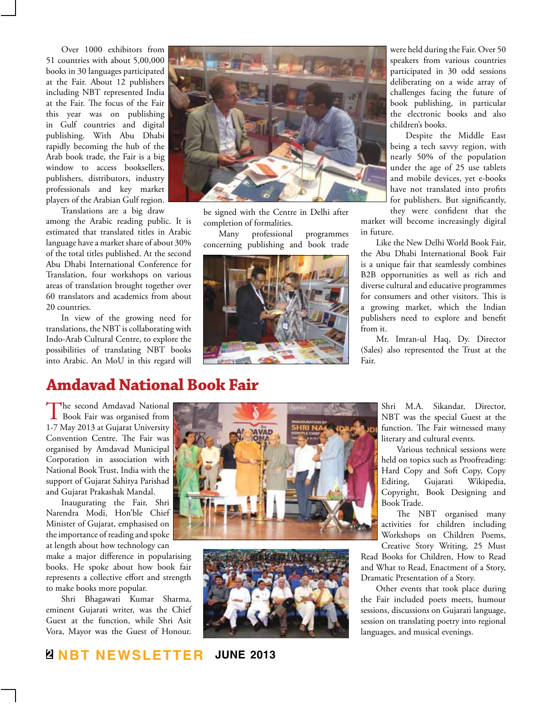Over 1000 exhibitors from 51 countries with about 5,00,000 books in 30 languages participated at the Fair. About 12 publishers including NBT represented India at the Fair. The focus of the Fair this year was on publishing in Gulf countries and digital publishing. With Abu Dhabi rapidly becoming the hub of the Arab book trade, the Fair is a big window to access booksellers, publishers, distributors, industry professionals and key market players of the Arabian Gulf region.

Translations are a big draw among the Arabic reading public. It is estimated that translated titles in Arabic language have a market share of about 30% of the total titles published. At the second Abu Dhabi International Conference for Translation, four workshops on various areas of translation brought together over 60 translators and academics from about 20 countries.

In view of the growing need for translations, the NBT is collaborating with Indo-Arab Cultural Centre, to explore the possibilities of translating NBT books into Arabic. An MoU in this regard will



be signed with the Centre in Delhi after completion of formalities.

Many professional programmes concerning publishing and book trade



were held during the Fair. Over 50 speakers from various countries participated in 30 odd sessions deliberating on a wide array of challenges facing the future of book publishing, in particular the electronic books and also children's books.

Despite the Middle East being a tech savvy region, with nearly 50% of the population under the age of 25 use tablets and mobile devices, yet e-books have not translated into profits for publishers. But significantly, they were confident that the

market will become increasingly digital in future.

Like the New Delhi World Book Fair, the Abu Dhabi International Book Fair is a unique fair that seamlessly combines B2B opportunities as well as rich and diverse cultural and educative programmes for consumers and other visitors. This is a growing market, which the Indian publishers need to explore and benefit from it.

Mr. Imran-ul Haq, Dy. Director (Sales) also represented the Trust at the Fair.

## **Amdavad National Book Fair**

The second Amdavad National<br>Book Fair was organised from 1-7 May 2013 at Gujarat University Convention Centre. The Fair was organised by Amdavad Municipal Corporation in association with National Book Trust, India with the support of Gujarat Sahitya Parishad and Gujarat Prakashak Mandal.

Inaugurating the Fair, Shri Narendra Modi, Hon'ble Chief Minister of Gujarat, emphasised on the importance of reading and spoke at length about how technology can

make a major difference in popularising books. He spoke about how book fair represents a collective effort and strength to make books more popular.

Shri Bhagawati Kumar Sharma, eminent Gujarati writer, was the Chief Guest at the function, while Shri Asit Vora, Mayor was the Guest of Honour.





Shri M.A. Sikandar, Director, NBT was the special Guest at the function. The Fair witnessed many literary and cultural events.

Various technical sessions were held on topics such as Proofreading: Hard Copy and Soft Copy, Copy Editing, Gujarati Wikipedia, Copyright, Book Designing and Book Trade.

The NBT organised many activities for children including Workshops on Children Poems, Creative Story Writing, 25 Must

Read Books for Children, How to Read and What to Read, Enactment of a Story, Dramatic Presentation of a Story.

Other events that took place during the Fair included poets meets, humour sessions, discussions on Gujarati language, session on translating poetry into regional languages, and musical evenings.

### **2 NBT Newsletter june 2013**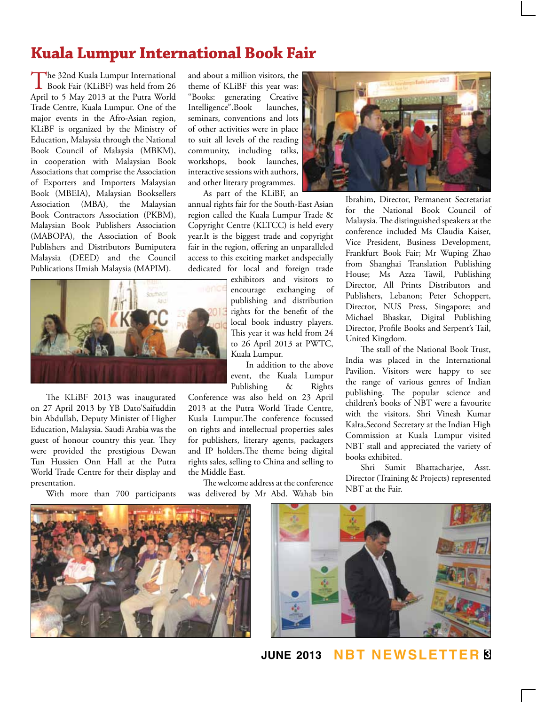## **Kuala Lumpur International Book Fair**

The 32nd Kuala Lumpur International<br>Book Fair (KLiBF) was held from 26 April to 5 May 2013 at the Putra World Trade Centre, Kuala Lumpur. One of the major events in the Afro-Asian region, KLiBF is organized by the Ministry of Education, Malaysia through the National Book Council of Malaysia (MBKM), in cooperation with Malaysian Book Associations that comprise the Association of Exporters and Importers Malaysian Book (MBEIA), Malaysian Booksellers Association (MBA), the Malaysian Book Contractors Association (PKBM), Malaysian Book Publishers Association (MABOPA), the Association of Book Publishers and Distributors Bumiputera Malaysia (DEED) and the Council Publications IImiah Malaysia (MAPIM).



The KLiBF 2013 was inaugurated on 27 April 2013 by YB Dato'Saifuddin bin Abdullah, Deputy Minister of Higher Education, Malaysia. Saudi Arabia was the guest of honour country this year. They were provided the prestigious Dewan Tun Hussien Onn Hall at the Putra World Trade Centre for their display and presentation.

With more than 700 participants

and about a million visitors, the theme of KLiBF this year was: "Books: generating Creative Intelligence".Book launches, seminars, conventions and lots of other activities were in place to suit all levels of the reading community, including talks, workshops, book launches, interactive sessions with authors, and other literary programmes. As part of the KLiBF, an

annual rights fair for the South-East Asian region called the Kuala Lumpur Trade & Copyright Centre (KLTCC) is held every year.It is the biggest trade and copyright fair in the region, offering an unparalleled access to this exciting market andspecially dedicated for local and foreign trade

exhibitors and visitors to encourage exchanging of publishing and distribution rights for the benefit of the local book industry players. This year it was held from 24 to 26 April 2013 at PWTC, Kuala Lumpur.

In addition to the above event, the Kuala Lumpur Publishing & Rights

Conference was also held on 23 April 2013 at the Putra World Trade Centre, Kuala Lumpur.The conference focussed on rights and intellectual properties sales for publishers, literary agents, packagers and IP holders.The theme being digital rights sales, selling to China and selling to the Middle East.

The welcome address at the conference was delivered by Mr Abd. Wahab bin



Ibrahim, Director, Permanent Secretariat for the National Book Council of Malaysia. The distinguished speakers at the conference included Ms Claudia Kaiser, Vice President, Business Development, Frankfurt Book Fair; Mr Wuping Zhao from Shanghai Translation Publishing House; Ms Azza Tawil, Publishing Director, All Prints Distributors and Publishers, Lebanon; Peter Schoppert, Director, NUS Press, Singapore; and Michael Bhaskar, Digital Publishing Director, Profile Books and Serpent's Tail, United Kingdom.

The stall of the National Book Trust, India was placed in the International Pavilion. Visitors were happy to see the range of various genres of Indian publishing. The popular science and children's books of NBT were a favourite with the visitors. Shri Vinesh Kumar Kalra,Second Secretary at the Indian High Commission at Kuala Lumpur visited NBT stall and appreciated the variety of books exhibited.

Shri Sumit Bhattacharjee, Asst. Director (Training & Projects) represented NBT at the Fair.





**june 2013 NBT Newsletter 3**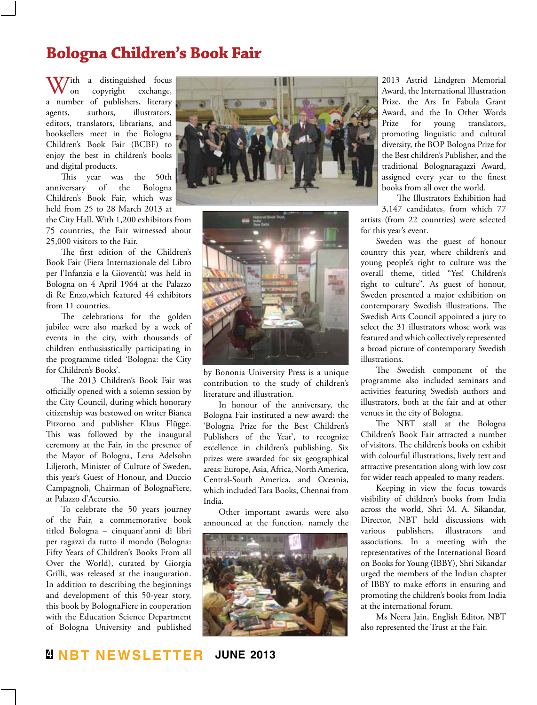## **Bologna Children's Book Fair**

With a distinguished focus<br>on copyright exchange, copyright a number of publishers, literary agents, authors, illustrators, editors, translators, librarians, and booksellers meet in the Bologna Children's Book Fair (BCBF) to enjoy the best in children's books and digital products.

This year was the 50th anniversary of the Bologna Children's Book Fair, which was held from 25 to 28 March 2013 at

the City Hall. With 1,200 exhibitors from 75 countries, the Fair witnessed about 25,000 visitors to the Fair.

The first edition of the Children's Book Fair (Fiera Internazionale del Libro per l'Infanzia e la Gioventù) was held in Bologna on 4 April 1964 at the Palazzo di Re Enzo,which featured 44 exhibitors from 11 countries.

The celebrations for the golden jubilee were also marked by a week of events in the city, with thousands of children enthusiastically participating in the programme titled 'Bologna: the City for Children's Books'.

The 2013 Children's Book Fair was officially opened with a solemn session by the City Council, during which honorary citizenship was bestowed on writer Bianca Pitzorno and publisher Klaus Flügge. This was followed by the inaugural ceremony at the Fair, in the presence of the Mayor of Bologna, Lena Adelsohn Liljeroth, Minister of Culture of Sweden, this year's Guest of Honour, and Duccio Campagnoli, Chairman of BolognaFiere, at Palazzo d'Accursio.

To celebrate the 50 years journey of the Fair, a commemorative book titled Bologna – cinquant'anni di libri per ragazzi da tutto il mondo (Bologna: Fifty Years of Children's Books From all Over the World), curated by Giorgia Grilli, was released at the inauguration. In addition to describing the beginnings and development of this 50-year story, this book by BolognaFiere in cooperation with the Education Science Department of Bologna University and published





by Bononia University Press is a unique contribution to the study of children's literature and illustration.

In honour of the anniversary, the Bologna Fair instituted a new award: the 'Bologna Prize for the Best Children's Publishers of the Year', to recognize excellence in children's publishing. Six prizes were awarded for six geographical areas: Europe, Asia, Africa, North America, Central-South America, and Oceania, which included Tara Books, Chennai from India.

Other important awards were also announced at the function, namely the



2013 Astrid Lindgren Memorial Award, the International Illustration Prize, the Ars In Fabula Grant Award, and the In Other Words Prize for young translators, promoting linguistic and cultural diversity, the BOP Bologna Prize for the Best children's Publisher, and the traditional Bolognaragazzi Award, assigned every year to the finest books from all over the world.

The Illustrators Exhibition had

3,147 candidates, from which 77 artists (from 22 countries) were selected for this year's event.

Sweden was the guest of honour country this year, where children's and young people's right to culture was the overall theme, titled "Yes! Children's right to culture". As guest of honour, Sweden presented a major exhibition on contemporary Swedish illustrations. The Swedish Arts Council appointed a jury to select the 31 illustrators whose work was featured and which collectively represented a broad picture of contemporary Swedish illustrations.

The Swedish component of the programme also included seminars and activities featuring Swedish authors and illustrators, both at the fair and at other venues in the city of Bologna.

The NBT stall at the Bologna Children's Book Fair attracted a number of visitors. The children's books on exhibit with colourful illustrations, lively text and attractive presentation along with low cost for wider reach appealed to many readers.

Keeping in view the focus towards visibility of children's books from India across the world, Shri M. A. Sikandar, Director, NBT held discussions with various publishers, illustrators and associations. In a meeting with the representatives of the International Board on Books for Young (IBBY), Shri Sikandar urged the members of the Indian chapter of IBBY to make efforts in ensuring and promoting the children's books from India at the international forum.

Ms Neera Jain, English Editor, NBT also represented the Trust at the Fair.

**4 NBT Newsletter june 2013**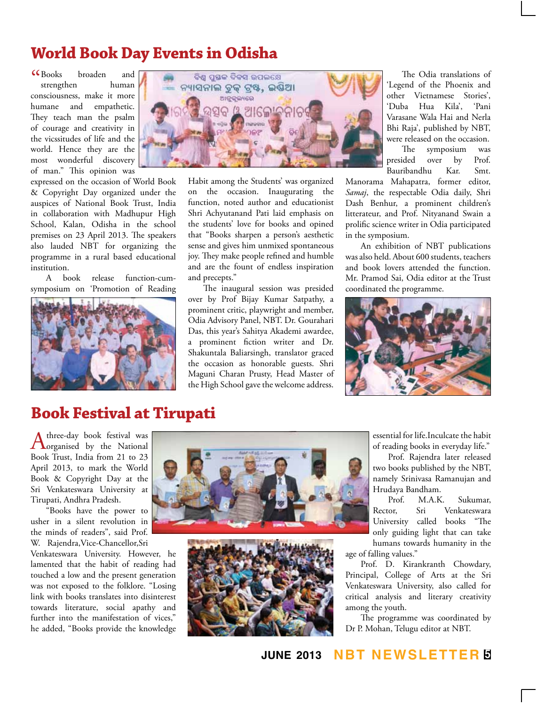# **World Book Day Events in Odisha**

 $G_{\text{Books}}$ broaden and strengthen human consciousness, make it more humane and empathetic. They teach man the psalm of courage and creativity in the vicssitudes of life and the world. Hence they are the most wonderful discovery of man." This opinion was

expressed on the occasion of World Book & Copyright Day organized under the auspices of National Book Trust, India in collaboration with Madhupur High School, Kalan, Odisha in the school premises on 23 April 2013. The speakers also lauded NBT for organizing the programme in a rural based educational institution.

A book release function-cumsymposium on 'Promotion of Reading





Habit among the Students' was organized on the occasion. Inaugurating the function, noted author and educationist Shri Achyutanand Pati laid emphasis on the students' love for books and opined that "Books sharpen a person's aesthetic sense and gives him unmixed spontaneous joy. They make people refined and humble and are the fount of endless inspiration and precepts."

The inaugural session was presided over by Prof Bijay Kumar Satpathy, a prominent critic, playwright and member, Odia Advisory Panel, NBT. Dr. Gourahari Das, this year's Sahitya Akademi awardee, a prominent fiction writer and Dr. Shakuntala Baliarsingh, translator graced the occasion as honorable guests. Shri Maguni Charan Prusty, Head Master of the High School gave the welcome address.

The Odia translations of 'Legend of the Phoenix and other Vietnamese Stories', 'Duba Hua Kila', 'Pani Varasane Wala Hai and Nerla Bhi Raja', published by NBT, were released on the occasion. The symposium was<br>presided over by Prof.

over by Prof. Bauribandhu Kar. Smt.

Manorama Mahapatra, former editor, *Samaj*, the respectable Odia daily, Shri Dash Benhur, a prominent children's litterateur, and Prof. Nityanand Swain a prolific science writer in Odia participated in the symposium.

An exhibition of NBT publications was also held. About 600 students, teachers and book lovers attended the function. Mr. Pramod Sai, Odia editor at the Trust coordinated the programme.



### **Book Festival at Tirupati**

A three-day book festival was<br>
organised by the National<br>  $\Gamma$ Book Trust, India from 21 to 23 April 2013, to mark the World Book & Copyright Day at the Sri Venkateswara University at Tirupati, Andhra Pradesh.

"Books have the power to usher in a silent revolution in the minds of readers", said Prof. W. Rajendra,Vice-Chancellor,Sri

Venkateswara University. However, he lamented that the habit of reading had touched a low and the present generation was not exposed to the folklore. "Losing link with books translates into disinterest towards literature, social apathy and further into the manifestation of vices," he added, "Books provide the knowledge





essential for life.Inculcate the habit of reading books in everyday life."

Prof. Rajendra later released two books published by the NBT, namely Srinivasa Ramanujan and Hrudaya Bandham.

M.A.K. Sukumar, Rector, Sri Venkateswara University called books "The only guiding light that can take humans towards humanity in the age of falling values."

Prof. D. Kirankranth Chowdary, Principal, College of Arts at the Sri Venkateswara University, also called for critical analysis and literary creativity among the youth.

The programme was coordinated by Dr P. Mohan, Telugu editor at NBT.

### **june 2013 NBT Newsletter 5**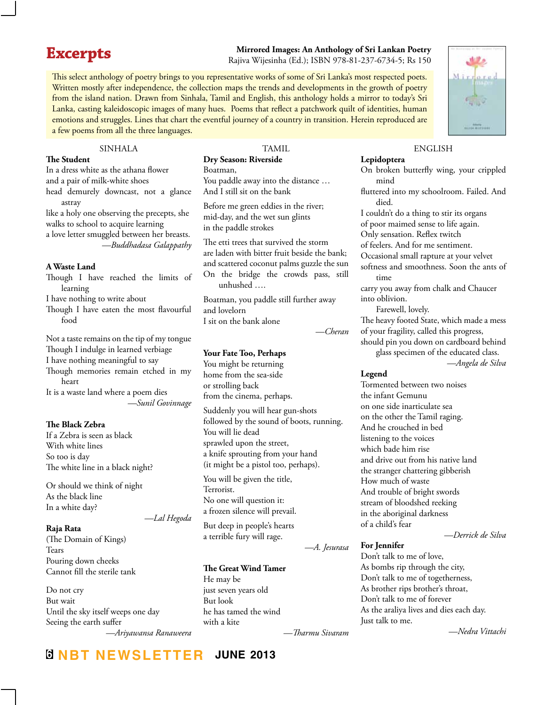## **Excerpts**

**Mirrored Images: An Anthology of Sri Lankan Poetry** Rajiva Wijesinha (Ed.); ISBN 978-81-237-6734-5; Rs 150

This select anthology of poetry brings to you representative works of some of Sri Lanka's most respected poets. Written mostly after independence, the collection maps the trends and developments in the growth of poetry from the island nation. Drawn from Sinhala, Tamil and English, this anthology holds a mirror to today's Sri Lanka, casting kaleidoscopic images of many hues. Poems that reflect a patchwork quilt of identities, human emotions and struggles. Lines that chart the eventful journey of a country in transition. Herein reproduced are a few poems from all the three languages.

**SINHALA** 

#### **The Student**

In a dress white as the athana flower and a pair of milk-white shoes head demurely downcast, not a glance astray like a holy one observing the precepts, she walks to school to acquire learning a love letter smuggled between her breasts.

*—Buddhadasa Galappathy*

#### **A Waste Land**

Though I have reached the limits of learning

I have nothing to write about

Though I have eaten the most flavourful food

Not a taste remains on the tip of my tongue Though I indulge in learned verbiage I have nothing meaningful to say Though memories remain etched in my heart

It is a waste land where a poem dies *—Sunil Govinnage*

#### **The Black Zebra**

If a Zebra is seen as black With white lines So too is day The white line in a black night?

Or should we think of night As the black line In a white day?

#### **Raja Rata**

(The Domain of Kings) Tears Pouring down cheeks Cannot fill the sterile tank

Do not cry But wait Until the sky itself weeps one day Seeing the earth suffer

*—Ariyawansa Ranaweera*

**6 NBT Newsletter june 2013**

*—Lal Hegoda*

#### **TAMIL Dry Season: Riverside**

Boatman, You paddle away into the distance … And I still sit on the bank

Before me green eddies in the river; mid-day, and the wet sun glints in the paddle strokes

The etti trees that survived the storm are laden with bitter fruit beside the bank; and scattered coconut palms guzzle the sun On the bridge the crowds pass, still unhushed ….

Boatman, you paddle still further away and lovelorn I sit on the bank alone

#### *—Cheran*

#### **Your Fate Too, Perhaps**

You might be returning home from the sea-side or strolling back from the cinema, perhaps.

Suddenly you will hear gun-shots followed by the sound of boots, running. You will lie dead sprawled upon the street, a knife sprouting from your hand (it might be a pistol too, perhaps).

You will be given the title, Terrorist. No one will question it: a frozen silence will prevail.

But deep in people's hearts a terrible fury will rage.

#### **The Great Wind Tamer**

He may be just seven years old But look he has tamed the wind with a kite

**ENGLISH Lepidoptera**

On broken butterfly wing, your crippled mind

fluttered into my schoolroom. Failed. And died.

I couldn't do a thing to stir its organs

of poor maimed sense to life again.

Only sensation. Reflex twitch

of feelers. And for me sentiment.

Occasional small rapture at your velvet

softness and smoothness. Soon the ants of time

carry you away from chalk and Chaucer into oblivion.

Farewell, lovely.

The heavy footed State, which made a mess of your fragility, called this progress,

should pin you down on cardboard behind glass specimen of the educated class.

*—Angela de Silva*

#### **Legend**

Tormented between two noises the infant Gemunu on one side inarticulate sea on the other the Tamil raging. And he crouched in bed listening to the voices which bade him rise and drive out from his native land the stranger chattering gibberish How much of waste And trouble of bright swords stream of bloodshed reeking in the aboriginal darkness of a child's fear

*—Derrick de Silva*

#### **For Jennifer**

Don't talk to me of love, As bombs rip through the city, Don't talk to me of togetherness, As brother rips brother's throat, Don't talk to me of forever As the araliya lives and dies each day. Just talk to me.

*—Tharmu Sivaram*

*—A. Jesurasa*

*—Nedra Vittachi*

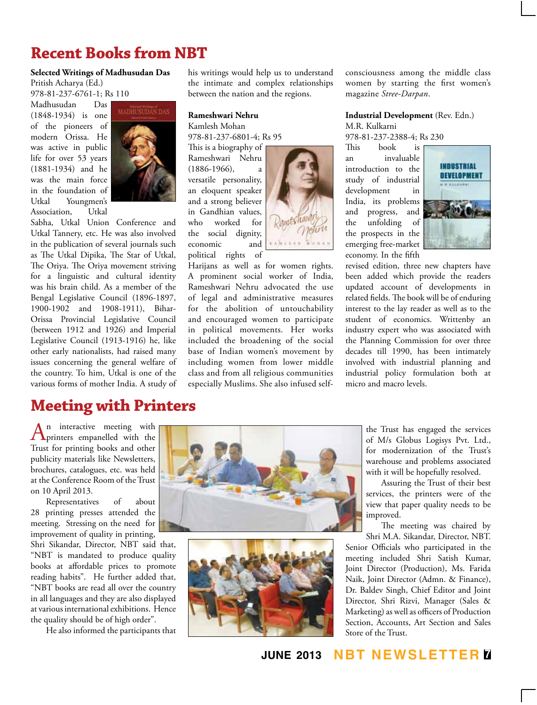## **Recent Books from NBT**

### **Selected Writings of Madhusudan Das**

Pritish Acharya (Ed.) 978-81-237-6761-1; Rs 110

Madhusudan Das (1848-1934) is one of the pioneers of modern Orissa. He was active in public life for over 53 years (1881-1934) and he was the main force in the foundation of Youngmen's Association, Utkal



Sabha, Utkal Union Conference and Utkal Tannery, etc. He was also involved in the publication of several journals such as The Utkal Dipika, The Star of Utkal, The Oriya. The Oriya movement striving for a linguistic and cultural identity was his brain child. As a member of the Bengal Legislative Council (1896-1897, 1900-1902 and 1908-1911), Bihar-Orissa Provincial Legislative Council (between 1912 and 1926) and Imperial Legislative Council (1913-1916) he, like other early nationalists, had raised many issues concerning the general welfare of the country. To him, Utkal is one of the various forms of mother India. A study of

### **Meeting with Printers**

his writings would help us to understand the intimate and complex relationships between the nation and the regions.

#### **Rameshwari Nehru**

Kamlesh Mohan 978-81-237-6801-4; Rs 95

This is a biography of Rameshwari Nehru (1886-1966), a versatile personality, an eloquent speaker and a strong believer in Gandhian values, who worked for the social dignity, economic and political rights of



Harijans as well as for women rights. A prominent social worker of India, Rameshwari Nehru advocated the use of legal and administrative measures for the abolition of untouchability and encouraged women to participate in political movements. Her works included the broadening of the social base of Indian women's movement by including women from lower middle class and from all religious communities especially Muslims. She also infused selfconsciousness among the middle class women by starting the first women's magazine *Stree-Darpan*.

### **Industrial Development** (Rev. Edn.) M.R. Kulkarni

978-81-237-2388-4; Rs 230

This book is an invaluable introduction to the study of industrial development in India, its problems and progress, and the unfolding of the prospects in the emerging free-market economy. In the fifth



revised edition, three new chapters have been added which provide the readers updated account of developments in related fields. The book will be of enduring interest to the lay reader as well as to the student of economics. Writtenby an industry expert who was associated with the Planning Commission for over three decades till 1990, has been intimately involved with industrial planning and industrial policy formulation both at micro and macro levels.

An interactive meeting with<br>
Printers empanelled with the Trust for printing books and other publicity materials like Newsletters, brochures, catalogues, etc. was held at the Conference Room of the Trust on 10 April 2013.

Representatives of about 28 printing presses attended the meeting. Stressing on the need for improvement of quality in printing,

Shri Sikandar, Director, NBT said that, "NBT is mandated to produce quality books at affordable prices to promote reading habits". He further added that, "NBT books are read all over the country in all languages and they are also displayed at various international exhibitions. Hence the quality should be of high order".

He also informed the participants that





the Trust has engaged the services of M/s Globus Logisys Pvt. Ltd., for modernization of the Trust's warehouse and problems associated with it will be hopefully resolved.

Assuring the Trust of their best services, the printers were of the view that paper quality needs to be improved.

The meeting was chaired by Shri M.A. Sikandar, Director, NBT.

Senior Officials who participated in the meeting included Shri Satish Kumar, Joint Director (Production), Ms. Farida Naik, Joint Director (Admn. & Finance), Dr. Baldev Singh, Chief Editor and Joint Director, Shri Rizvi, Manager (Sales & Marketing) as well as officers of Production Section, Accounts, Art Section and Sales Store of the Trust.

### **june 2013 NBT Newsletter 7**